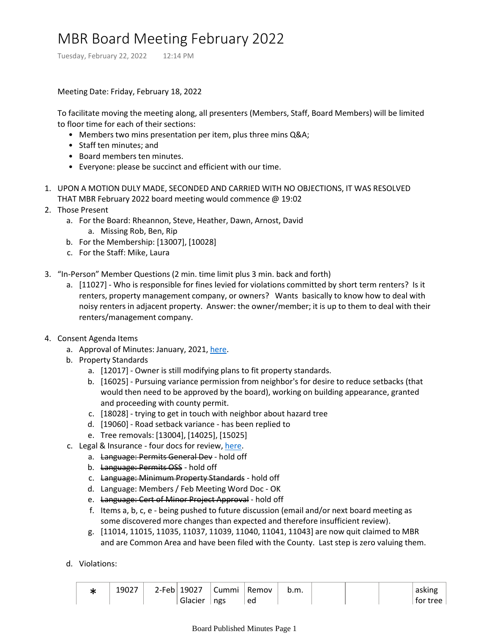## MBR Board Meeting February 2022

Tuesday, February 22, 2022 12:14 PM

Meeting Date: Friday, February 18, 2022

To facilitate moving the meeting along, all presenters (Members, Staff, Board Members) will be limited to floor time for each of their sections:

- Members two mins presentation per item, plus three mins Q&A;
- Staff ten minutes; and
- Board members ten minutes.
- Everyone: please be succinct and efficient with our time.
- 1. UPON A MOTION DULY MADE, SECONDED AND CARRIED WITH NO OBJECTIONS, IT WAS RESOLVED THAT MBR February 2022 board meeting would commence @ 19:02
- 2. Those Present
	- For the Board: Rheannon, Steve, Heather, Dawn, Arnost, David a.
		- a. Missing Rob, Ben, Rip
	- b. For the Membership: [13007], [10028]
	- c. For the Staff: Mike, Laura
- 3. "In-Person" Member Questions (2 min. time limit plus 3 min. back and forth)
	- a. [11027] Who is responsible for fines levied for violations committed by short term renters? Is it renters, property management company, or owners? Wants basically to know how to deal with noisy renters in adjacent property. Answer: the owner/member; it is up to them to deal with their renters/management company.
- 4. Consent Agenda Items
	- a. Approval of Minutes: January, 2021, [here.](onenote:Board%20Published%20Minutes.one#MBR%20Board%20Meeting%20January%202022§ion-id={0DB4B39E-9E2E-4A3A-BBBB-5153A31F305F}&page-id={DD2BB261-C4F2-4285-B0D6-8EAF423677C1}&end&base-path=https://mtbakerrim.sharepoint.com/sites/mbr_board_only/SiteAssets/MBR_BOARD_ONLY_GROUP%20Notebook)
	- b. Property Standards
		- a. [12017] Owner is still modifying plans to fit property standards.
		- b. [16025] Pursuing variance permission from neighbor's for desire to reduce setbacks (that would then need to be approved by the board), working on building appearance, granted and proceeding with county permit.
		- c. [18028] trying to get in touch with neighbor about hazard tree
		- d. [19060] Road setback variance has been replied to
		- e. Tree removals: [13004], [14025], [15025]
	- c. Legal & Insurance four docs for review, [here](https://mtbakerrim.sharepoint.com/:f:/r/sites/mbrboard/Shared%20Documents/Secretary/Board%20Meeting%2002-2022?csf=1&web=1&e=KKhYup).
		- a. Language: Permits General Dev hold off
			- b. Language: Permits OSS hold off
			- c. Language: Minimum Property Standards hold off
			- d. Language: Members / Feb Meeting Word Doc OK
			- e. Language: Cert of Minor Project Approval hold off
			- f. Items a, b, c, e being pushed to future discussion (email and/or next board meeting as some discovered more changes than expected and therefore insufficient review).
			- g. [11014, 11015, 11035, 11037, 11039, 11040, 11041, 11043] are now quit claimed to MBR and are Common Area and have been filed with the County. Last step is zero valuing them.
	- d. Violations:

| 19027 | 2-Feb 19027 | Cummi | Remov | b.m. |  | asking   |
|-------|-------------|-------|-------|------|--|----------|
|       | Glacier     | ngs   | ed    |      |  | for tree |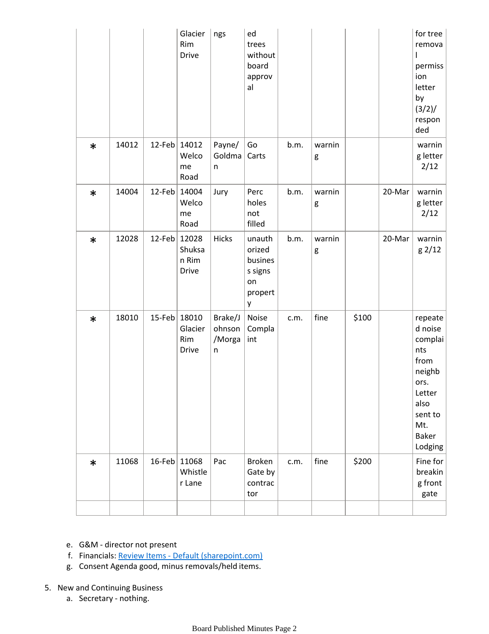|        |       |           | Glacier<br>Rim<br><b>Drive</b>           | ngs                              | ed<br>trees<br>without<br>board<br>approv<br>al              |      |             |       |        | for tree<br>remova<br>I<br>permiss<br>ion<br>letter<br>by<br>(3/2)/<br>respon<br>ded                                   |
|--------|-------|-----------|------------------------------------------|----------------------------------|--------------------------------------------------------------|------|-------------|-------|--------|------------------------------------------------------------------------------------------------------------------------|
| $\ast$ | 14012 | $12$ -Feb | 14012<br>Welco<br>me<br>Road             | Payne/<br>Goldma<br>n            | Go<br>Carts                                                  | b.m. | warnin<br>g |       |        | warnin<br>g letter<br>2/12                                                                                             |
| $\ast$ | 14004 | 12-Feb    | 14004<br>Welco<br>me<br>Road             | Jury                             | Perc<br>holes<br>not<br>filled                               | b.m. | warnin<br>g |       | 20-Mar | warnin<br>g letter<br>2/12                                                                                             |
| $\ast$ | 12028 | $12$ -Feb | 12028<br>Shuksa<br>n Rim<br><b>Drive</b> | Hicks                            | unauth<br>orized<br>busines<br>s signs<br>on<br>propert<br>у | b.m. | warnin<br>g |       | 20-Mar | warnin<br>g 2/12                                                                                                       |
| $\ast$ | 18010 | 15-Feb    | 18010<br>Glacier<br>Rim<br>Drive         | Brake/J<br>ohnson<br>/Morga<br>n | Noise<br>Compla<br>int                                       | c.m. | fine        | \$100 |        | repeate<br>d noise<br>complai<br>nts<br>from<br>neighb<br>ors.<br>Letter<br>also<br>sent to<br>Mt.<br>Baker<br>Lodging |
| $\ast$ | 11068 | $16$ -Feb | 11068<br>Whistle<br>r Lane               | Pac                              | <b>Broken</b><br>Gate by<br>contrac<br>tor                   | c.m. | fine        | \$200 |        | Fine for<br>breakin<br>g front<br>gate                                                                                 |
|        |       |           |                                          |                                  |                                                              |      |             |       |        |                                                                                                                        |

- e. G&M director not present
- f. Financials: Review Items [Default \(sharepoint.com\)](https://mtbakerrim.sharepoint.com/sites/mbrboard/ReviewItems/AllItems.aspx?RootFolder=%2Fsites%2Fmbrboard%2FShared%20Documents%2FFINANCIALS%2F2022%20Monthly%20Financials&FolderCTID=0x012000B6AE82B15273DD48A386BCF4CF69FE3D&View=%7BF3330C0A%2DC1EA%2D4758%2D8FF7%2D6FB14D754F39%7D)
- g. Consent Agenda good, minus removals/held items.

## 5. New and Continuing Business

a. Secretary - nothing.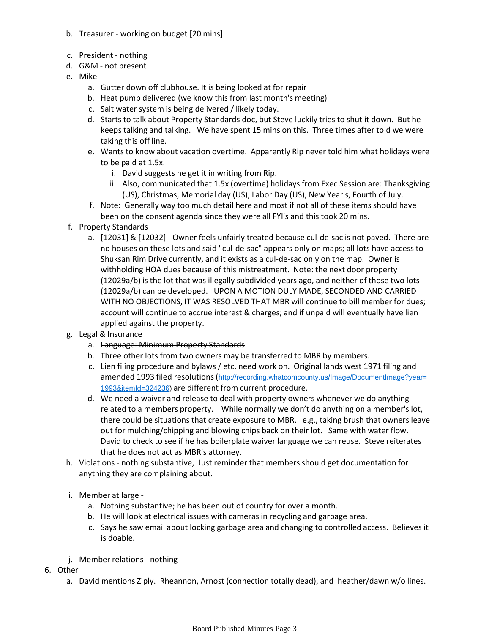- b. Treasurer working on budget [20 mins]
- c. President nothing
- d. G&M not present
- e. Mike
	- a. Gutter down off clubhouse. It is being looked at for repair
	- b. Heat pump delivered (we know this from last month's meeting)
	- c. Salt water system is being delivered / likely today.
	- d. Starts to talk about Property Standards doc, but Steve luckily tries to shut it down. But he keeps talking and talking. We have spent 15 mins on this. Three times after told we were taking this off line.
	- Wants to know about vacation overtime. Apparently Rip never told him what holidays were e. to be paid at 1.5x.
		- i. David suggests he get it in writing from Rip.
		- ii. Also, communicated that 1.5x (overtime) holidays from Exec Session are: Thanksgiving (US), Christmas, Memorial day (US), Labor Day (US), New Year's, Fourth of July.
	- f. Note: Generally way too much detail here and most if not all of these items should have been on the consent agenda since they were all FYI's and this took 20 mins.
- f. Property Standards
	- a. [12031] & [12032] Owner feels unfairly treated because cul-de-sac is not paved. There are no houses on these lots and said "cul-de-sac" appears only on maps; all lots have access to Shuksan Rim Drive currently, and it exists as a cul-de-sac only on the map. Owner is withholding HOA dues because of this mistreatment. Note: the next door property (12029a/b) is the lot that was illegally subdivided years ago, and neither of those two lots (12029a/b) can be developed. UPON A MOTION DULY MADE, SECONDED AND CARRIED WITH NO OBJECTIONS, IT WAS RESOLVED THAT MBR will continue to bill member for dues; account will continue to accrue interest & charges; and if unpaid will eventually have lien applied against the property.
- g. Legal & Insurance
	- a. Language: Minimum Property Standards
	- b. Three other lots from two owners may be transferred to MBR by members.
	- c. Lien filing procedure and bylaws / etc. need work on. Original lands west 1971 filing and amended 1993 filed resolutions ([http://recording.whatcomcounty.us/Image/DocumentImage?year=](http://recording.whatcomcounty.us/Image/DocumentImage?year=1993&itemId=324236) [1993&itemId=324236](http://recording.whatcomcounty.us/Image/DocumentImage?year=1993&itemId=324236)) are different from current procedure.
	- We need a waiver and release to deal with property owners whenever we do anything d. related to a members property. While normally we don't do anything on a member's lot, there could be situations that create exposure to MBR. e.g., taking brush that owners leave out for mulching/chipping and blowing chips back on their lot. Same with water flow. David to check to see if he has boilerplate waiver language we can reuse. Steve reiterates that he does not act as MBR's attorney.
- h. Violations nothing substantive, Just reminder that members should get documentation for anything they are complaining about.
- i. Member at large
	- a. Nothing substantive; he has been out of country for over a month.
	- b. He will look at electrical issues with cameras in recycling and garbage area.
	- c. Says he saw email about locking garbage area and changing to controlled access. Believes it is doable.
- j. Member relations nothing
- 6. Other
	- a. David mentions Ziply. Rheannon, Arnost (connection totally dead), and heather/dawn w/o lines.